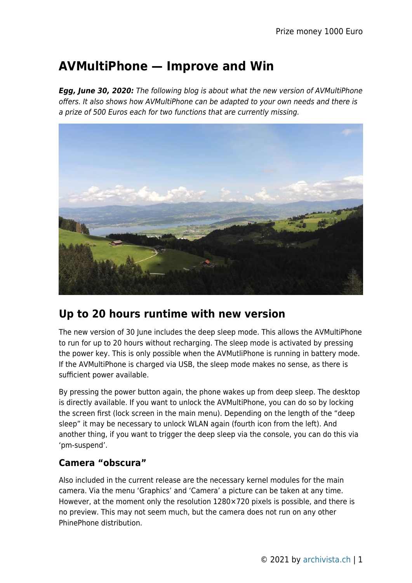# **AVMultiPhone — Improve and Win**

*Egg, June 30, 2020:* The following blog is about what the new version of AVMultiPhone offers. It also shows how AVMultiPhone can be adapted to your own needs and there is a prize of 500 Euros each for two functions that are currently missing.



# **Up to 20 hours runtime with new version**

The new version of 30 June includes the deep sleep mode. This allows the AVMultiPhone to run for up to 20 hours without recharging. The sleep mode is activated by pressing the power key. This is only possible when the AVMutliPhone is running in battery mode. If the AVMultiPhone is charged via USB, the sleep mode makes no sense, as there is sufficient power available.

By pressing the power button again, the phone wakes up from deep sleep. The desktop is directly available. If you want to unlock the AVMultiPhone, you can do so by locking the screen first (lock screen in the main menu). Depending on the length of the "deep sleep" it may be necessary to unlock WLAN again (fourth icon from the left). And another thing, if you want to trigger the deep sleep via the console, you can do this via 'pm-suspend'.

## **Camera "obscura"**

Also included in the current release are the necessary kernel modules for the main camera. Via the menu 'Graphics' and 'Camera' a picture can be taken at any time. However, at the moment only the resolution 1280×720 pixels is possible, and there is no preview. This may not seem much, but the camera does not run on any other PhinePhone distribution.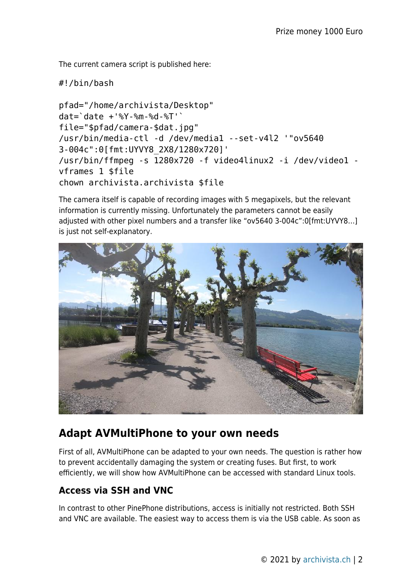The current camera script is published here:

#!/bin/bash

```
pfad="/home/archivista/Desktop"
dat=`date +'%Y-%m-%d-%T'`
file="$pfad/camera-$dat.jpg"
/usr/bin/media-ctl -d /dev/media1 --set-v4l2 '"ov5640
3-004c":0[fmt:UYVY8_2X8/1280x720]'
/usr/bin/ffmpeg -s 1280x720 -f video4linux2 -i /dev/video1 -
vframes 1 $file
chown archivista.archivista $file
```
The camera itself is capable of recording images with 5 megapixels, but the relevant information is currently missing. Unfortunately the parameters cannot be easily adjusted with other pixel numbers and a transfer like "ov5640 3-004c":0[fmt:UYVY8…] is just not self-explanatory.



# **Adapt AVMultiPhone to your own needs**

First of all, AVMultiPhone can be adapted to your own needs. The question is rather how to prevent accidentally damaging the system or creating fuses. But first, to work efficiently, we will show how AVMultiPhone can be accessed with standard Linux tools.

## **Access via SSH and VNC**

In contrast to other PinePhone distributions, access is initially not restricted. Both SSH and VNC are available. The easiest way to access them is via the USB cable. As soon as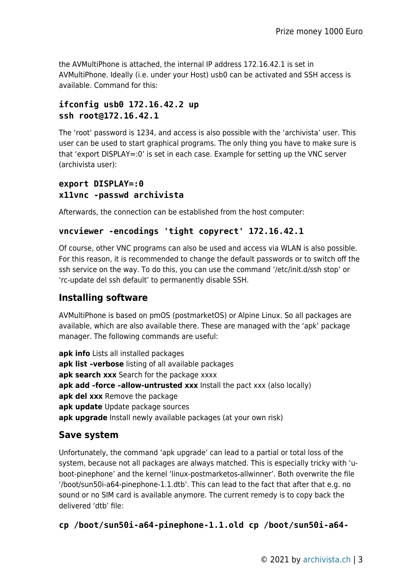the AVMultiPhone is attached, the internal IP address 172.16.42.1 is set in AVMultiPhone. Ideally (i.e. under your Host) usb0 can be activated and SSH access is available. Command for this:

### **ifconfig usb0 172.16.42.2 up ssh root@172.16.42.1**

The 'root' password is 1234, and access is also possible with the 'archivista' user. This user can be used to start graphical programs. The only thing you have to make sure is that 'export DISPLAY=:0' is set in each case. Example for setting up the VNC server (archivista user):

## **export DISPLAY=:0 x11vnc -passwd archivista**

Afterwards, the connection can be established from the host computer:

### **vncviewer -encodings 'tight copyrect' 172.16.42.1**

Of course, other VNC programs can also be used and access via WLAN is also possible. For this reason, it is recommended to change the default passwords or to switch off the ssh service on the way. To do this, you can use the command '/etc/init.d/ssh stop' or 'rc-update del ssh default' to permanently disable SSH.

## **Installing software**

AVMultiPhone is based on pmOS (postmarketOS) or Alpine Linux. So all packages are available, which are also available there. These are managed with the 'apk' package manager. The following commands are useful:

**apk info** Lists all installed packages **apk list –verbose** listing of all available packages apk search xxx Search for the package xxxx apk add -force -allow-untrusted xxx Install the pact xxx (also locally) **apk del xxx** Remove the package **apk update** Update package sources **apk upgrade** Install newly available packages (at your own risk)

## **Save system**

Unfortunately, the command 'apk upgrade' can lead to a partial or total loss of the system, because not all packages are always matched. This is especially tricky with 'uboot-pinephone' and the kernel 'linux-postmarketos-allwinner'. Both overwrite the file '/boot/sun50i-a64-pinephone-1.1.dtb'. This can lead to the fact that after that e.g. no sound or no SIM card is available anymore. The current remedy is to copy back the delivered 'dtb' file:

**cp /boot/sun50i-a64-pinephone-1.1.old cp /boot/sun50i-a64-**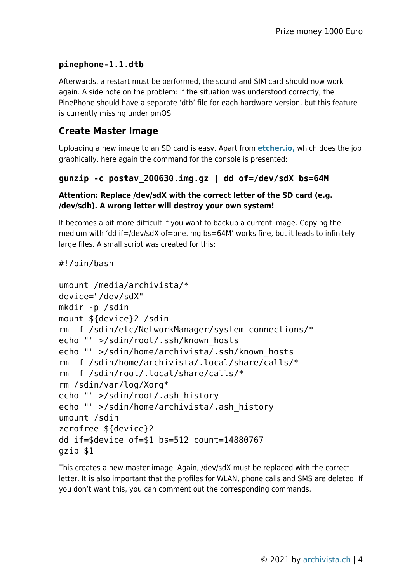## **pinephone-1.1.dtb**

Afterwards, a restart must be performed, the sound and SIM card should now work again. A side note on the problem: If the situation was understood correctly, the PinePhone should have a separate 'dtb' file for each hardware version, but this feature is currently missing under pmOS.

## **Create Master Image**

Uploading a new image to an SD card is easy. Apart from **[etcher.io,](http://etcheri.io)** which does the job graphically, here again the command for the console is presented:

```
gunzip -c postav_200630.img.gz | dd of=/dev/sdX bs=64M
```
#### **Attention: Replace /dev/sdX with the correct letter of the SD card (e.g. /dev/sdh). A wrong letter will destroy your own system!**

It becomes a bit more difficult if you want to backup a current image. Copying the medium with 'dd if=/dev/sdX of=one.img bs=64M' works fine, but it leads to infinitely large files. A small script was created for this:

```
#!/bin/bash
```

```
umount /media/archivista/*
device="/dev/sdX"
mkdir -p /sdin
mount ${device}2 /sdin
rm -f /sdin/etc/NetworkManager/system-connections/*
echo "" >/sdin/root/.ssh/known_hosts
echo "" >/sdin/home/archivista/.ssh/known_hosts
rm -f /sdin/home/archivista/.local/share/calls/*
rm -f /sdin/root/.local/share/calls/*
rm /sdin/var/log/Xorg*
echo "" >/sdin/root/.ash_history
echo "" >/sdin/home/archivista/.ash_history
umount /sdin
zerofree ${device}2
dd if=$device of=$1 bs=512 count=14880767
gzip $1
```
This creates a new master image. Again, /dev/sdX must be replaced with the correct letter. It is also important that the profiles for WLAN, phone calls and SMS are deleted. If you don't want this, you can comment out the corresponding commands.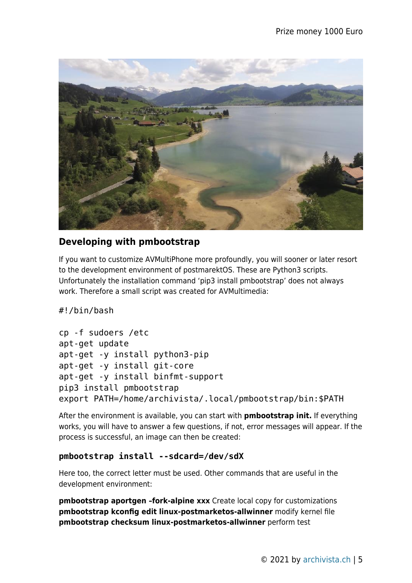

## **Developing with pmbootstrap**

If you want to customize AVMultiPhone more profoundly, you will sooner or later resort to the development environment of postmarektOS. These are Python3 scripts. Unfortunately the installation command 'pip3 install pmbootstrap' does not always work. Therefore a small script was created for AVMultimedia:

#!/bin/bash

```
cp -f sudoers /etc
apt-get update
apt-get -y install python3-pip
apt-get -y install git-core
apt-get -y install binfmt-support
pip3 install pmbootstrap
export PATH=/home/archivista/.local/pmbootstrap/bin:$PATH
```
After the environment is available, you can start with **pmbootstrap init.** If everything works, you will have to answer a few questions, if not, error messages will appear. If the process is successful, an image can then be created:

#### **pmbootstrap install --sdcard=/dev/sdX**

Here too, the correct letter must be used. Other commands that are useful in the development environment:

**pmbootstrap aportgen –fork-alpine xxx** Create local copy for customizations **pmbootstrap kconfig edit linux-postmarketos-allwinner** modify kernel file **pmbootstrap checksum linux-postmarketos-allwinner** perform test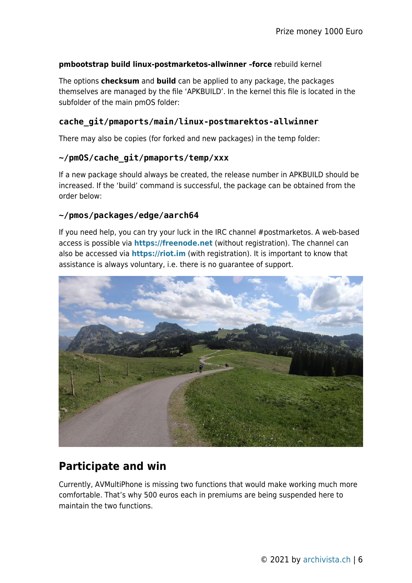#### **pmbootstrap build linux-postmarketos-allwinner –force** rebuild kernel

The options **checksum** and **build** can be applied to any package, the packages themselves are managed by the file 'APKBUILD'. In the kernel this file is located in the subfolder of the main pmOS folder:

#### **cache\_git/pmaports/main/linux-postmarektos-allwinner**

There may also be copies (for forked and new packages) in the temp folder:

#### **~/pmOS/cache\_git/pmaports/temp/xxx**

If a new package should always be created, the release number in APKBUILD should be increased. If the 'build' command is successful, the package can be obtained from the order below:

#### **~/pmos/packages/edge/aarch64**

If you need help, you can try your luck in the IRC channel #postmarketos. A web-based access is possible via **<https://freenode.net>** (without registration). The channel can also be accessed via **[https://riot.im](https://freenode.net)** (with registration). It is important to know that assistance is always voluntary, i.e. there is no guarantee of support.



# **Participate and win**

Currently, AVMultiPhone is missing two functions that would make working much more comfortable. That's why 500 euros each in premiums are being suspended here to maintain the two functions.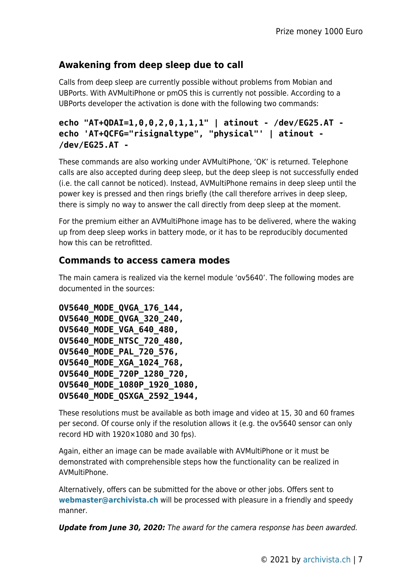## **Awakening from deep sleep due to call**

Calls from deep sleep are currently possible without problems from Mobian and UBPorts. With AVMultiPhone or pmOS this is currently not possible. According to a UBPorts developer the activation is done with the following two commands:

```
echo "AT+QDAI=1,0,0,2,0,1,1,1" | atinout - /dev/EG25.AT -
echo 'AT+QCFG="risignaltype", "physical"' | atinout -
/dev/EG25.AT -
```
These commands are also working under AVMultiPhone, 'OK' is returned. Telephone calls are also accepted during deep sleep, but the deep sleep is not successfully ended (i.e. the call cannot be noticed). Instead, AVMultiPhone remains in deep sleep until the power key is pressed and then rings briefly (the call therefore arrives in deep sleep, there is simply no way to answer the call directly from deep sleep at the moment.

For the premium either an AVMultiPhone image has to be delivered, where the waking up from deep sleep works in battery mode, or it has to be reproducibly documented how this can be retrofitted.

## **Commands to access camera modes**

The main camera is realized via the kernel module 'ov5640'. The following modes are documented in the sources:

```
OV5640_MODE_QVGA_176_144,
OV5640_MODE_QVGA_320_240,
OV5640_MODE_VGA_640_480,
OV5640_MODE_NTSC_720_480,
OV5640_MODE_PAL_720_576,
OV5640_MODE_XGA_1024_768,
OV5640_MODE_720P_1280_720,
OV5640_MODE_1080P_1920_1080,
OV5640_MODE_QSXGA_2592_1944,
```
These resolutions must be available as both image and video at 15, 30 and 60 frames per second. Of course only if the resolution allows it (e.g. the ov5640 sensor can only record HD with  $1920\times1080$  and 30 fps).

Again, either an image can be made available with AVMultiPhone or it must be demonstrated with comprehensible steps how the functionality can be realized in AVMultiPhone.

Alternatively, offers can be submitted for the above or other jobs. Offers sent to **[webmaster@archivista.ch](mailto:webmaster@archivista.ch)** will be processed with pleasure in a friendly and speedy manner.

*Update from June 30, 2020:* The award for the camera response has been awarded.